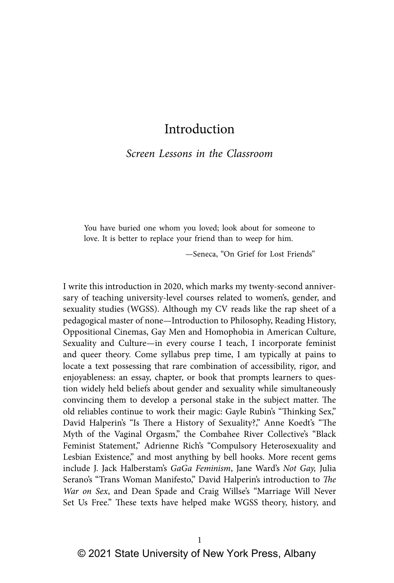# Introduction

*Screen Lessons in the Classroom*

You have buried one whom you loved; look about for someone to love. It is better to replace your friend than to weep for him.

—Seneca, "On Grief for Lost Friends"

I write this introduction in 2020, which marks my twenty-second anniversary of teaching university-level courses related to women's, gender, and sexuality studies (WGSS). Although my CV reads like the rap sheet of a pedagogical master of none—Introduction to Philosophy, Reading History, Oppositional Cinemas, Gay Men and Homophobia in American Culture, Sexuality and Culture—in every course I teach, I incorporate feminist and queer theory. Come syllabus prep time, I am typically at pains to locate a text possessing that rare combination of accessibility, rigor, and enjoyableness: an essay, chapter, or book that prompts learners to question widely held beliefs about gender and sexuality while simultaneously convincing them to develop a personal stake in the subject matter. The old reliables continue to work their magic: Gayle Rubin's "Thinking Sex," David Halperin's "Is There a History of Sexuality?," Anne Koedt's "The Myth of the Vaginal Orgasm," the Combahee River Collective's "Black Feminist Statement," Adrienne Rich's "Compulsory Heterosexuality and Lesbian Existence," and most anything by bell hooks. More recent gems include J. Jack Halberstam's *GaGa Feminism*, Jane Ward's *Not Gay,* Julia Serano's "Trans Woman Manifesto," David Halperin's introduction to *The War on Sex*, and Dean Spade and Craig Willse's "Marriage Will Never Set Us Free." These texts have helped make WGSS theory, history, and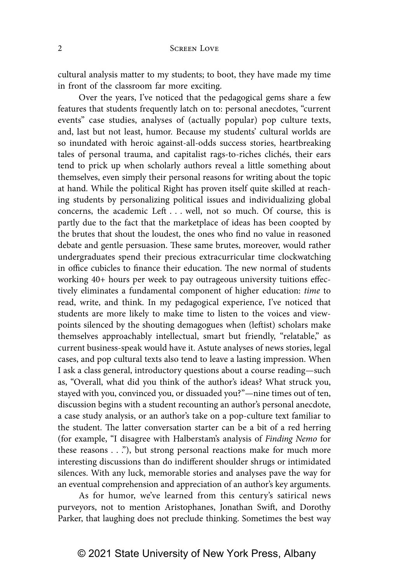cultural analysis matter to my students; to boot, they have made my time in front of the classroom far more exciting.

Over the years, I've noticed that the pedagogical gems share a few features that students frequently latch on to: personal anecdotes, "current events" case studies, analyses of (actually popular) pop culture texts, and, last but not least, humor. Because my students' cultural worlds are so inundated with heroic against-all-odds success stories, heartbreaking tales of personal trauma, and capitalist rags-to-riches clichés, their ears tend to prick up when scholarly authors reveal a little something about themselves, even simply their personal reasons for writing about the topic at hand. While the political Right has proven itself quite skilled at reaching students by personalizing political issues and individualizing global concerns, the academic Left . . . well, not so much. Of course, this is partly due to the fact that the marketplace of ideas has been coopted by the brutes that shout the loudest, the ones who find no value in reasoned debate and gentle persuasion. These same brutes, moreover, would rather undergraduates spend their precious extracurricular time clockwatching in office cubicles to finance their education. The new normal of students working 40+ hours per week to pay outrageous university tuitions effectively eliminates a fundamental component of higher education: *time* to read, write, and think. In my pedagogical experience, I've noticed that students are more likely to make time to listen to the voices and viewpoints silenced by the shouting demagogues when (leftist) scholars make themselves approachably intellectual, smart but friendly, "relatable," as current business-speak would have it. Astute analyses of news stories, legal cases, and pop cultural texts also tend to leave a lasting impression. When I ask a class general, introductory questions about a course reading—such as, "Overall, what did you think of the author's ideas? What struck you, stayed with you, convinced you, or dissuaded you?"—nine times out of ten, discussion begins with a student recounting an author's personal anecdote, a case study analysis, or an author's take on a pop-culture text familiar to the student. The latter conversation starter can be a bit of a red herring (for example, "I disagree with Halberstam's analysis of *Finding Nemo* for these reasons . . ."), but strong personal reactions make for much more interesting discussions than do indifferent shoulder shrugs or intimidated silences. With any luck, memorable stories and analyses pave the way for an eventual comprehension and appreciation of an author's key arguments.

As for humor, we've learned from this century's satirical news purveyors, not to mention Aristophanes, Jonathan Swift, and Dorothy Parker, that laughing does not preclude thinking. Sometimes the best way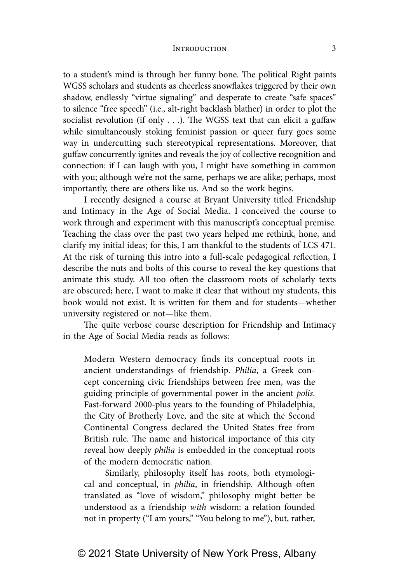to a student's mind is through her funny bone. The political Right paints WGSS scholars and students as cheerless snowflakes triggered by their own shadow, endlessly "virtue signaling" and desperate to create "safe spaces" to silence "free speech" (i.e., alt-right backlash blather) in order to plot the socialist revolution (if only . . .). The WGSS text that can elicit a guffaw while simultaneously stoking feminist passion or queer fury goes some way in undercutting such stereotypical representations. Moreover, that guffaw concurrently ignites and reveals the joy of collective recognition and connection: if I can laugh with you, I might have something in common with you; although we're not the same, perhaps we are alike; perhaps, most importantly, there are others like us. And so the work begins.

I recently designed a course at Bryant University titled Friendship and Intimacy in the Age of Social Media. I conceived the course to work through and experiment with this manuscript's conceptual premise. Teaching the class over the past two years helped me rethink, hone, and clarify my initial ideas; for this, I am thankful to the students of LCS 471. At the risk of turning this intro into a full-scale pedagogical reflection, I describe the nuts and bolts of this course to reveal the key questions that animate this study. All too often the classroom roots of scholarly texts are obscured; here, I want to make it clear that without my students, this book would not exist. It is written for them and for students—whether university registered or not—like them.

The quite verbose course description for Friendship and Intimacy in the Age of Social Media reads as follows:

Modern Western democracy finds its conceptual roots in ancient understandings of friendship. *Philia*, a Greek concept concerning civic friendships between free men, was the guiding principle of governmental power in the ancient *polis*. Fast-forward 2000-plus years to the founding of Philadelphia, the City of Brotherly Love, and the site at which the Second Continental Congress declared the United States free from British rule. The name and historical importance of this city reveal how deeply *philia* is embedded in the conceptual roots of the modern democratic nation.

Similarly, philosophy itself has roots, both etymological and conceptual, in *philia*, in friendship. Although often translated as "love of wisdom," philosophy might better be understood as a friendship *with* wisdom: a relation founded not in property ("I am yours," "You belong to me"), but, rather,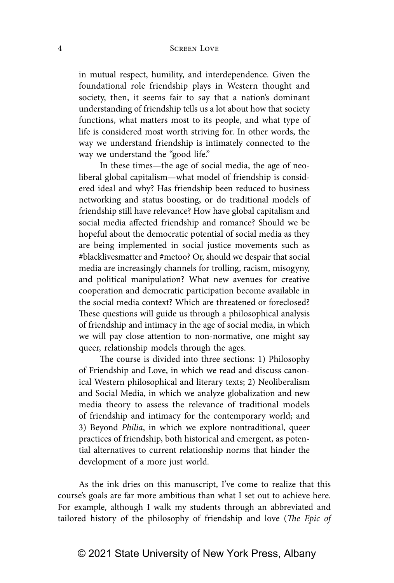#### 4 Screen Love

in mutual respect, humility, and interdependence. Given the foundational role friendship plays in Western thought and society, then, it seems fair to say that a nation's dominant understanding of friendship tells us a lot about how that society functions, what matters most to its people, and what type of life is considered most worth striving for. In other words, the way we understand friendship is intimately connected to the way we understand the "good life."

In these times—the age of social media, the age of neoliberal global capitalism—what model of friendship is considered ideal and why? Has friendship been reduced to business networking and status boosting, or do traditional models of friendship still have relevance? How have global capitalism and social media affected friendship and romance? Should we be hopeful about the democratic potential of social media as they are being implemented in social justice movements such as #blacklivesmatter and #metoo? Or, should we despair that social media are increasingly channels for trolling, racism, misogyny, and political manipulation? What new avenues for creative cooperation and democratic participation become available in the social media context? Which are threatened or foreclosed? These questions will guide us through a philosophical analysis of friendship and intimacy in the age of social media, in which we will pay close attention to non-normative, one might say queer, relationship models through the ages.

The course is divided into three sections: 1) Philosophy of Friendship and Love, in which we read and discuss canonical Western philosophical and literary texts; 2) Neoliberalism and Social Media, in which we analyze globalization and new media theory to assess the relevance of traditional models of friendship and intimacy for the contemporary world; and 3) Beyond *Philia*, in which we explore nontraditional, queer practices of friendship, both historical and emergent, as potential alternatives to current relationship norms that hinder the development of a more just world.

As the ink dries on this manuscript, I've come to realize that this course's goals are far more ambitious than what I set out to achieve here. For example, although I walk my students through an abbreviated and tailored history of the philosophy of friendship and love (*The Epic of*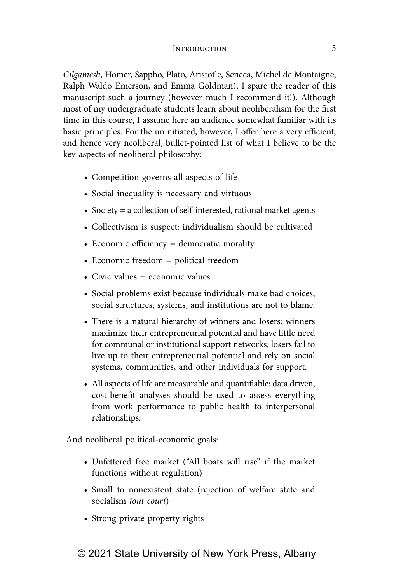*Gilgamesh*, Homer, Sappho, Plato, Aristotle, Seneca, Michel de Montaigne, Ralph Waldo Emerson, and Emma Goldman), I spare the reader of this manuscript such a journey (however much I recommend it!). Although most of my undergraduate students learn about neoliberalism for the first time in this course, I assume here an audience somewhat familiar with its basic principles. For the uninitiated, however, I offer here a very efficient, and hence very neoliberal, bullet-pointed list of what I believe to be the key aspects of neoliberal philosophy:

- Competition governs all aspects of life
- Social inequality is necessary and virtuous
- Society = a collection of self-interested, rational market agents
- Collectivism is suspect; individualism should be cultivated
- Economic efficiency = democratic morality
- Economic freedom = political freedom
- Civic values = economic values
- Social problems exist because individuals make bad choices; social structures, systems, and institutions are not to blame.
- There is a natural hierarchy of winners and losers: winners maximize their entrepreneurial potential and have little need for communal or institutional support networks; losers fail to live up to their entrepreneurial potential and rely on social systems, communities, and other individuals for support.
- All aspects of life are measurable and quantifiable: data driven, cost-benefit analyses should be used to assess everything from work performance to public health to interpersonal relationships.

And neoliberal political-economic goals:

- Unfettered free market ("All boats will rise" if the market functions without regulation)
- Small to nonexistent state (rejection of welfare state and socialism *tout court*)
- Strong private property rights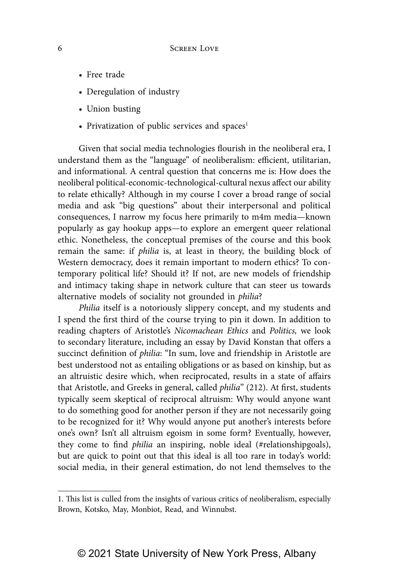- Free trade
- Deregulation of industry
- Union busting
- Privatization of public services and spaces<sup>1</sup>

Given that social media technologies flourish in the neoliberal era, I understand them as the "language" of neoliberalism: efficient, utilitarian, and informational. A central question that concerns me is: How does the neoliberal political-economic-technological-cultural nexus affect our ability to relate ethically? Although in my course I cover a broad range of social media and ask "big questions" about their interpersonal and political consequences, I narrow my focus here primarily to m4m media—known popularly as gay hookup apps—to explore an emergent queer relational ethic. Nonetheless, the conceptual premises of the course and this book remain the same: if *philia* is, at least in theory, the building block of Western democracy, does it remain important to modern ethics? To contemporary political life? Should it? If not, are new models of friendship and intimacy taking shape in network culture that can steer us towards alternative models of sociality not grounded in *philia*?

*Philia* itself is a notoriously slippery concept, and my students and I spend the first third of the course trying to pin it down. In addition to reading chapters of Aristotle's *Nicomachean Ethics* and *Politics,* we look to secondary literature, including an essay by David Konstan that offers a succinct definition of *philia*: "In sum, love and friendship in Aristotle are best understood not as entailing obligations or as based on kinship, but as an altruistic desire which, when reciprocated, results in a state of affairs that Aristotle, and Greeks in general, called *philia*" (212). At first, students typically seem skeptical of reciprocal altruism: Why would anyone want to do something good for another person if they are not necessarily going to be recognized for it? Why would anyone put another's interests before one's own? Isn't all altruism egoism in some form? Eventually, however, they come to find *philia* an inspiring, noble ideal (#relationshipgoals), but are quick to point out that this ideal is all too rare in today's world: social media, in their general estimation, do not lend themselves to the

<sup>1.</sup> This list is culled from the insights of various critics of neoliberalism, especially Brown, Kotsko, May, Monbiot, Read, and Winnubst.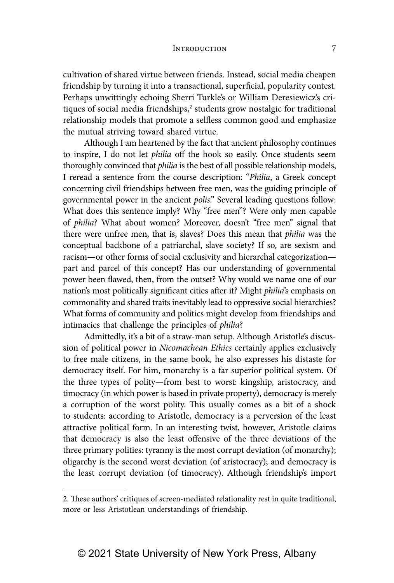cultivation of shared virtue between friends. Instead, social media cheapen friendship by turning it into a transactional, superficial, popularity contest. Perhaps unwittingly echoing Sherri Turkle's or William Deresiewicz's critiques of social media friendships,<sup>2</sup> students grow nostalgic for traditional relationship models that promote a selfless common good and emphasize the mutual striving toward shared virtue.

Although I am heartened by the fact that ancient philosophy continues to inspire, I do not let *philia* off the hook so easily. Once students seem thoroughly convinced that *philia* is the best of all possible relationship models, I reread a sentence from the course description: "*Philia*, a Greek concept concerning civil friendships between free men, was the guiding principle of governmental power in the ancient *polis*." Several leading questions follow: What does this sentence imply? Why "free men"? Were only men capable of *philia*? What about women? Moreover, doesn't "free men" signal that there were unfree men, that is, slaves? Does this mean that *philia* was the conceptual backbone of a patriarchal, slave society? If so, are sexism and racism—or other forms of social exclusivity and hierarchal categorization part and parcel of this concept? Has our understanding of governmental power been flawed, then, from the outset? Why would we name one of our nation's most politically significant cities after it? Might *philia*'s emphasis on commonality and shared traits inevitably lead to oppressive social hierarchies? What forms of community and politics might develop from friendships and intimacies that challenge the principles of *philia*?

Admittedly, it's a bit of a straw-man setup. Although Aristotle's discussion of political power in *Nicomachean Ethics* certainly applies exclusively to free male citizens, in the same book, he also expresses his distaste for democracy itself. For him, monarchy is a far superior political system. Of the three types of polity—from best to worst: kingship, aristocracy, and timocracy (in which power is based in private property), democracy is merely a corruption of the worst polity. This usually comes as a bit of a shock to students: according to Aristotle, democracy is a perversion of the least attractive political form. In an interesting twist, however, Aristotle claims that democracy is also the least offensive of the three deviations of the three primary polities: tyranny is the most corrupt deviation (of monarchy); oligarchy is the second worst deviation (of aristocracy); and democracy is the least corrupt deviation (of timocracy). Although friendship's import

<sup>2.</sup> These authors' critiques of screen-mediated relationality rest in quite traditional, more or less Aristotlean understandings of friendship.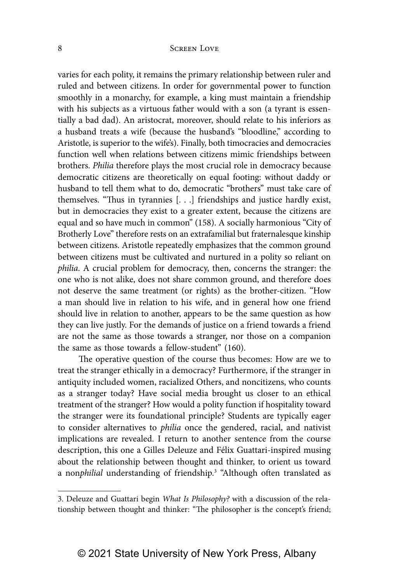varies for each polity, it remains the primary relationship between ruler and ruled and between citizens. In order for governmental power to function smoothly in a monarchy, for example, a king must maintain a friendship with his subjects as a virtuous father would with a son (a tyrant is essentially a bad dad). An aristocrat, moreover, should relate to his inferiors as a husband treats a wife (because the husband's "bloodline," according to Aristotle, is superior to the wife's). Finally, both timocracies and democracies function well when relations between citizens mimic friendships between brothers. *Philia* therefore plays the most crucial role in democracy because democratic citizens are theoretically on equal footing: without daddy or husband to tell them what to do, democratic "brothers" must take care of themselves. "Thus in tyrannies [. . .] friendships and justice hardly exist, but in democracies they exist to a greater extent, because the citizens are equal and so have much in common" (158). A socially harmonious "City of Brotherly Love" therefore rests on an extrafamilial but fraternalesque kinship between citizens. Aristotle repeatedly emphasizes that the common ground between citizens must be cultivated and nurtured in a polity so reliant on *philia*. A crucial problem for democracy, then, concerns the stranger: the one who is not alike, does not share common ground, and therefore does not deserve the same treatment (or rights) as the brother-citizen. "How a man should live in relation to his wife, and in general how one friend should live in relation to another, appears to be the same question as how they can live justly. For the demands of justice on a friend towards a friend are not the same as those towards a stranger, nor those on a companion the same as those towards a fellow-student" (160).

The operative question of the course thus becomes: How are we to treat the stranger ethically in a democracy? Furthermore, if the stranger in antiquity included women, racialized Others, and noncitizens, who counts as a stranger today? Have social media brought us closer to an ethical treatment of the stranger? How would a polity function if hospitality toward the stranger were its foundational principle? Students are typically eager to consider alternatives to *philia* once the gendered, racial, and nativist implications are revealed. I return to another sentence from the course description, this one a Gilles Deleuze and Félix Guattari-inspired musing about the relationship between thought and thinker, to orient us toward a nonphilial understanding of friendship.<sup>3</sup> "Although often translated as

<sup>3.</sup> Deleuze and Guattari begin *What Is Philosophy?* with a discussion of the relationship between thought and thinker: "The philosopher is the concept's friend;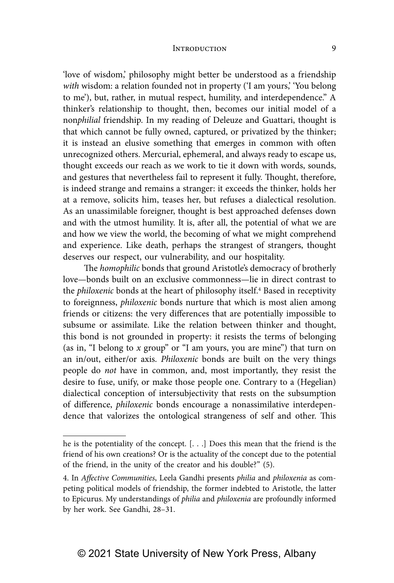'love of wisdom,' philosophy might better be understood as a friendship with wisdom: a relation founded not in property ('I am yours,' 'You belong to me'), but, rather, in mutual respect, humility, and interdependence." A thinker's relationship to thought, then, becomes our initial model of a non*philial* friendship. In my reading of Deleuze and Guattari, thought is that which cannot be fully owned, captured, or privatized by the thinker; it is instead an elusive something that emerges in common with often unrecognized others. Mercurial, ephemeral, and always ready to escape us, thought exceeds our reach as we work to tie it down with words, sounds, and gestures that nevertheless fail to represent it fully. Thought, therefore, is indeed strange and remains a stranger: it exceeds the thinker, holds her at a remove, solicits him, teases her, but refuses a dialectical resolution. As an unassimilable foreigner, thought is best approached defenses down and with the utmost humility. It is, after all, the potential of what we are and how we view the world, the becoming of what we might comprehend and experience. Like death, perhaps the strangest of strangers, thought deserves our respect, our vulnerability, and our hospitality.

The *homophilic* bonds that ground Aristotle's democracy of brotherly love—bonds built on an exclusive commonness—lie in direct contrast to the *philoxenic* bonds at the heart of philosophy itself.4 Based in receptivity to foreignness, *philoxenic* bonds nurture that which is most alien among friends or citizens: the very differences that are potentially impossible to subsume or assimilate. Like the relation between thinker and thought, this bond is not grounded in property: it resists the terms of belonging (as in, "I belong to *x* group" or "I am yours, you are mine") that turn on an in/out, either/or axis. *Philoxenic* bonds are built on the very things people do *not* have in common, and, most importantly, they resist the desire to fuse, unify, or make those people one. Contrary to a (Hegelian) dialectical conception of intersubjectivity that rests on the subsumption of difference, *philoxenic* bonds encourage a nonassimilative interdependence that valorizes the ontological strangeness of self and other. This

he is the potentiality of the concept. [. . .] Does this mean that the friend is the friend of his own creations? Or is the actuality of the concept due to the potential of the friend, in the unity of the creator and his double?" (5).

<sup>4.</sup> In *Affective Communities*, Leela Gandhi presents *philia* and *philoxenia* as competing political models of friendship, the former indebted to Aristotle, the latter to Epicurus. My understandings of *philia* and *philoxenia* are profoundly informed by her work. See Gandhi, 28–31.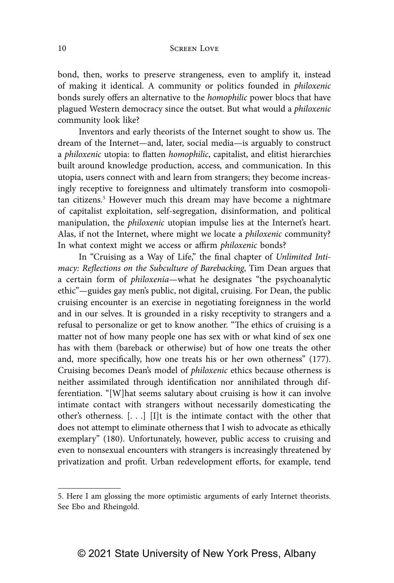bond, then, works to preserve strangeness, even to amplify it, instead of making it identical. A community or politics founded in *philoxenic* bonds surely offers an alternative to the *homophilic* power blocs that have plagued Western democracy since the outset. But what would a *philoxenic* community look like?

Inventors and early theorists of the Internet sought to show us. The dream of the Internet—and, later, social media—is arguably to construct a *philoxenic* utopia: to flatten *homophilic*, capitalist, and elitist hierarchies built around knowledge production, access, and communication. In this utopia, users connect with and learn from strangers; they become increasingly receptive to foreignness and ultimately transform into cosmopolitan citizens.<sup>5</sup> However much this dream may have become a nightmare of capitalist exploitation, self-segregation, disinformation, and political manipulation, the *philoxenic* utopian impulse lies at the Internet's heart. Alas, if not the Internet, where might we locate a *philoxenic* community? In what context might we access or affirm *philoxenic* bonds?

In "Cruising as a Way of Life," the final chapter of *Unlimited Intimacy: Reflections on the Subculture of Barebacking*, Tim Dean argues that a certain form of *philoxenia*—what he designates "the psychoanalytic ethic"—guides gay men's public, not digital, cruising. For Dean, the public cruising encounter is an exercise in negotiating foreignness in the world and in our selves. It is grounded in a risky receptivity to strangers and a refusal to personalize or get to know another. "The ethics of cruising is a matter not of how many people one has sex with or what kind of sex one has with them (bareback or otherwise) but of how one treats the other and, more specifically, how one treats his or her own otherness" (177). Cruising becomes Dean's model of *philoxenic* ethics because otherness is neither assimilated through identification nor annihilated through differentiation. "[W]hat seems salutary about cruising is how it can involve intimate contact with strangers without necessarily domesticating the other's otherness. [. . .] [I]t is the intimate contact with the other that does not attempt to eliminate otherness that I wish to advocate as ethically exemplary" (180). Unfortunately, however, public access to cruising and even to nonsexual encounters with strangers is increasingly threatened by privatization and profit. Urban redevelopment efforts, for example, tend

<sup>5.</sup> Here I am glossing the more optimistic arguments of early Internet theorists. See Ebo and Rheingold.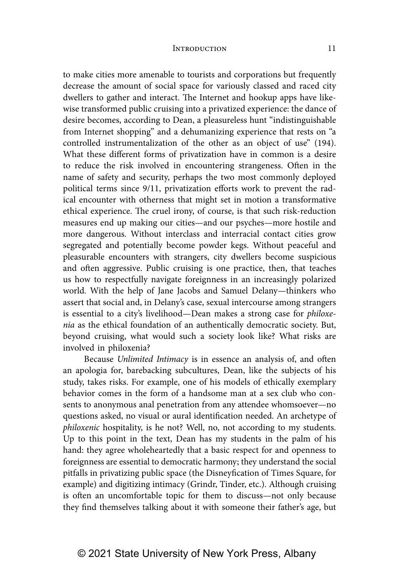to make cities more amenable to tourists and corporations but frequently decrease the amount of social space for variously classed and raced city dwellers to gather and interact. The Internet and hookup apps have likewise transformed public cruising into a privatized experience: the dance of desire becomes, according to Dean, a pleasureless hunt "indistinguishable from Internet shopping" and a dehumanizing experience that rests on "a controlled instrumentalization of the other as an object of use" (194). What these different forms of privatization have in common is a desire to reduce the risk involved in encountering strangeness. Often in the name of safety and security, perhaps the two most commonly deployed political terms since 9/11, privatization efforts work to prevent the radical encounter with otherness that might set in motion a transformative ethical experience. The cruel irony, of course, is that such risk-reduction measures end up making our cities—and our psyches—more hostile and more dangerous. Without interclass and interracial contact cities grow segregated and potentially become powder kegs. Without peaceful and pleasurable encounters with strangers, city dwellers become suspicious and often aggressive. Public cruising is one practice, then, that teaches us how to respectfully navigate foreignness in an increasingly polarized world. With the help of Jane Jacobs and Samuel Delany—thinkers who assert that social and, in Delany's case, sexual intercourse among strangers is essential to a city's livelihood—Dean makes a strong case for *philoxenia* as the ethical foundation of an authentically democratic society. But, beyond cruising, what would such a society look like? What risks are involved in philoxenia?

Because *Unlimited Intimacy* is in essence an analysis of, and often an apologia for, barebacking subcultures, Dean, like the subjects of his study, takes risks. For example, one of his models of ethically exemplary behavior comes in the form of a handsome man at a sex club who consents to anonymous anal penetration from any attendee whomsoever—no questions asked, no visual or aural identification needed. An archetype of *philoxenic* hospitality, is he not? Well, no, not according to my students. Up to this point in the text, Dean has my students in the palm of his hand: they agree wholeheartedly that a basic respect for and openness to foreignness are essential to democratic harmony; they understand the social pitfalls in privatizing public space (the Disneyfication of Times Square, for example) and digitizing intimacy (Grindr, Tinder, etc.). Although cruising is often an uncomfortable topic for them to discuss—not only because they find themselves talking about it with someone their father's age, but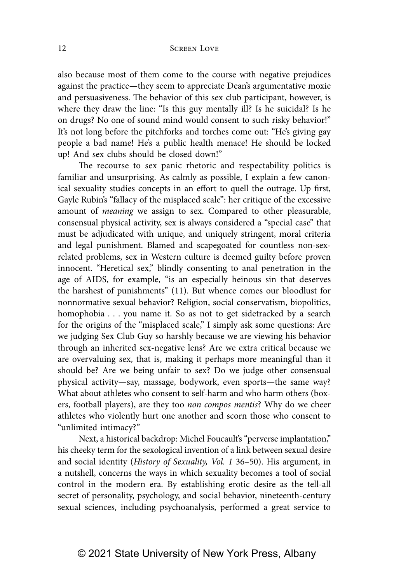also because most of them come to the course with negative prejudices against the practice—they seem to appreciate Dean's argumentative moxie and persuasiveness. The behavior of this sex club participant, however, is where they draw the line: "Is this guy mentally ill? Is he suicidal? Is he on drugs? No one of sound mind would consent to such risky behavior!" It's not long before the pitchforks and torches come out: "He's giving gay people a bad name! He's a public health menace! He should be locked up! And sex clubs should be closed down!"

The recourse to sex panic rhetoric and respectability politics is familiar and unsurprising. As calmly as possible, I explain a few canonical sexuality studies concepts in an effort to quell the outrage. Up first, Gayle Rubin's "fallacy of the misplaced scale": her critique of the excessive amount of *meaning* we assign to sex. Compared to other pleasurable, consensual physical activity, sex is always considered a "special case" that must be adjudicated with unique, and uniquely stringent, moral criteria and legal punishment. Blamed and scapegoated for countless non-sexrelated problems, sex in Western culture is deemed guilty before proven innocent. "Heretical sex," blindly consenting to anal penetration in the age of AIDS, for example, "is an especially heinous sin that deserves the harshest of punishments" (11). But whence comes our bloodlust for nonnormative sexual behavior? Religion, social conservatism, biopolitics, homophobia . . . you name it. So as not to get sidetracked by a search for the origins of the "misplaced scale," I simply ask some questions: Are we judging Sex Club Guy so harshly because we are viewing his behavior through an inherited sex-negative lens? Are we extra critical because we are overvaluing sex, that is, making it perhaps more meaningful than it should be? Are we being unfair to sex? Do we judge other consensual physical activity—say, massage, bodywork, even sports—the same way? What about athletes who consent to self-harm and who harm others (boxers, football players), are they too *non compos mentis*? Why do we cheer athletes who violently hurt one another and scorn those who consent to "unlimited intimacy?"

Next, a historical backdrop: Michel Foucault's "perverse implantation," his cheeky term for the sexological invention of a link between sexual desire and social identity (*History of Sexuality, Vol. 1* 36–50). His argument, in a nutshell, concerns the ways in which sexuality becomes a tool of social control in the modern era. By establishing erotic desire as the tell-all secret of personality, psychology, and social behavior, nineteenth-century sexual sciences, including psychoanalysis, performed a great service to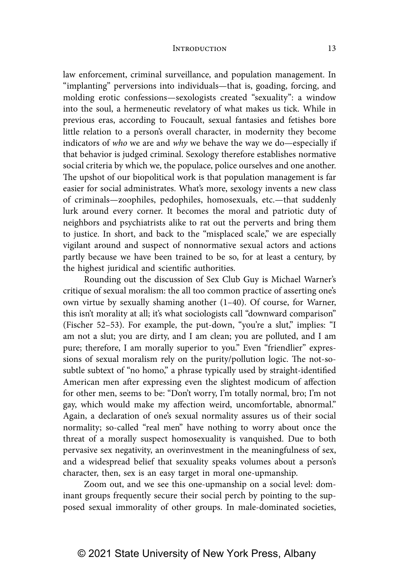law enforcement, criminal surveillance, and population management. In "implanting" perversions into individuals—that is, goading, forcing, and molding erotic confessions—sexologists created "sexuality": a window into the soul, a hermeneutic revelatory of what makes us tick. While in previous eras, according to Foucault, sexual fantasies and fetishes bore little relation to a person's overall character, in modernity they become indicators of *who* we are and *why* we behave the way we do—especially if that behavior is judged criminal. Sexology therefore establishes normative social criteria by which we, the populace, police ourselves and one another. The upshot of our biopolitical work is that population management is far easier for social administrates. What's more, sexology invents a new class of criminals—zoophiles, pedophiles, homosexuals, etc.—that suddenly lurk around every corner. It becomes the moral and patriotic duty of neighbors and psychiatrists alike to rat out the perverts and bring them to justice. In short, and back to the "misplaced scale," we are especially vigilant around and suspect of nonnormative sexual actors and actions partly because we have been trained to be so, for at least a century, by the highest juridical and scientific authorities.

Rounding out the discussion of Sex Club Guy is Michael Warner's critique of sexual moralism: the all too common practice of asserting one's own virtue by sexually shaming another (1–40). Of course, for Warner, this isn't morality at all; it's what sociologists call "downward comparison" (Fischer 52–53). For example, the put-down, "you're a slut," implies: "I am not a slut; you are dirty, and I am clean; you are polluted, and I am pure; therefore, I am morally superior to you." Even "friendlier" expressions of sexual moralism rely on the purity/pollution logic. The not-sosubtle subtext of "no homo," a phrase typically used by straight-identified American men after expressing even the slightest modicum of affection for other men, seems to be: "Don't worry, I'm totally normal, bro; I'm not gay, which would make my affection weird, uncomfortable, abnormal." Again, a declaration of one's sexual normality assures us of their social normality; so-called "real men" have nothing to worry about once the threat of a morally suspect homosexuality is vanquished. Due to both pervasive sex negativity, an overinvestment in the meaningfulness of sex, and a widespread belief that sexuality speaks volumes about a person's character, then, sex is an easy target in moral one-upmanship.

Zoom out, and we see this one-upmanship on a social level: dominant groups frequently secure their social perch by pointing to the supposed sexual immorality of other groups. In male-dominated societies,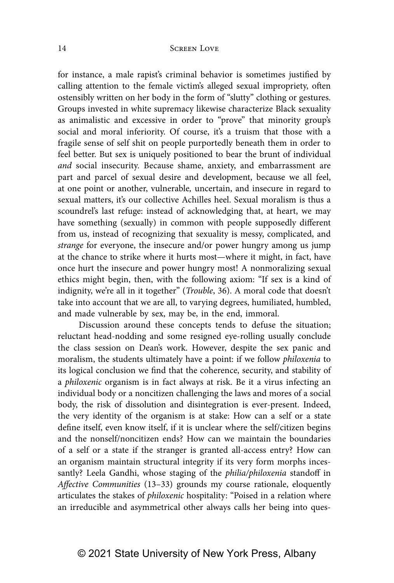#### 14 Screen Love

for instance, a male rapist's criminal behavior is sometimes justified by calling attention to the female victim's alleged sexual impropriety, often ostensibly written on her body in the form of "slutty" clothing or gestures. Groups invested in white supremacy likewise characterize Black sexuality as animalistic and excessive in order to "prove" that minority group's social and moral inferiority. Of course, it's a truism that those with a fragile sense of self shit on people purportedly beneath them in order to feel better. But sex is uniquely positioned to bear the brunt of individual *and* social insecurity. Because shame, anxiety, and embarrassment are part and parcel of sexual desire and development, because we all feel, at one point or another, vulnerable*,* uncertain, and insecure in regard to sexual matters, it's our collective Achilles heel. Sexual moralism is thus a scoundrel's last refuge: instead of acknowledging that, at heart, we may have something (sexually) in common with people supposedly different from us, instead of recognizing that sexuality is messy, complicated, and *strange* for everyone, the insecure and/or power hungry among us jump at the chance to strike where it hurts most—where it might, in fact, have once hurt the insecure and power hungry most! A nonmoralizing sexual ethics might begin, then, with the following axiom: "If sex is a kind of indignity, we're all in it together" (*Trouble*, 36). A moral code that doesn't take into account that we are all, to varying degrees, humiliated, humbled, and made vulnerable by sex, may be, in the end, immoral.

Discussion around these concepts tends to defuse the situation; reluctant head-nodding and some resigned eye-rolling usually conclude the class session on Dean's work. However, despite the sex panic and moralism, the students ultimately have a point: if we follow *philoxenia* to its logical conclusion we find that the coherence, security, and stability of a *philoxenic* organism is in fact always at risk. Be it a virus infecting an individual body or a noncitizen challenging the laws and mores of a social body, the risk of dissolution and disintegration is ever-present. Indeed, the very identity of the organism is at stake: How can a self or a state define itself, even know itself, if it is unclear where the self/citizen begins and the nonself/noncitizen ends? How can we maintain the boundaries of a self or a state if the stranger is granted all-access entry? How can an organism maintain structural integrity if its very form morphs incessantly? Leela Gandhi, whose staging of the *philia/philoxenia* standoff in *Affective Communities* (13–33) grounds my course rationale, eloquently articulates the stakes of *philoxenic* hospitality: "Poised in a relation where an irreducible and asymmetrical other always calls her being into ques-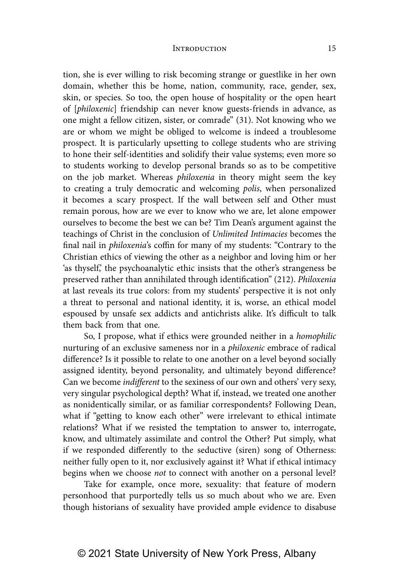tion, she is ever willing to risk becoming strange or guestlike in her own domain, whether this be home, nation, community, race, gender, sex, skin, or species. So too, the open house of hospitality or the open heart of [*philoxenic*] friendship can never know guests-friends in advance, as one might a fellow citizen, sister, or comrade" (31). Not knowing who we are or whom we might be obliged to welcome is indeed a troublesome prospect. It is particularly upsetting to college students who are striving to hone their self-identities and solidify their value systems; even more so to students working to develop personal brands so as to be competitive on the job market. Whereas *philoxenia* in theory might seem the key to creating a truly democratic and welcoming *polis*, when personalized it becomes a scary prospect. If the wall between self and Other must remain porous, how are we ever to know who we are, let alone empower ourselves to become the best we can be? Tim Dean's argument against the teachings of Christ in the conclusion of *Unlimited Intimacies* becomes the final nail in *philoxenia*'s coffin for many of my students: "Contrary to the Christian ethics of viewing the other as a neighbor and loving him or her 'as thyself,' the psychoanalytic ethic insists that the other's strangeness be preserved rather than annihilated through identification" (212). *Philoxenia* at last reveals its true colors: from my students' perspective it is not only a threat to personal and national identity, it is, worse, an ethical model espoused by unsafe sex addicts and antichrists alike. It's difficult to talk them back from that one.

So, I propose, what if ethics were grounded neither in a *homophilic* nurturing of an exclusive sameness nor in a *philoxenic* embrace of radical difference? Is it possible to relate to one another on a level beyond socially assigned identity, beyond personality, and ultimately beyond difference? Can we become *indifferent* to the sexiness of our own and others' very sexy, very singular psychological depth? What if, instead, we treated one another as nonidentically similar, or as familiar correspondents? Following Dean, what if "getting to know each other" were irrelevant to ethical intimate relations? What if we resisted the temptation to answer to, interrogate, know, and ultimately assimilate and control the Other? Put simply, what if we responded differently to the seductive (siren) song of Otherness: neither fully open to it, nor exclusively against it? What if ethical intimacy begins when we choose *not* to connect with another on a personal level?

Take for example, once more, sexuality: that feature of modern personhood that purportedly tells us so much about who we are. Even though historians of sexuality have provided ample evidence to disabuse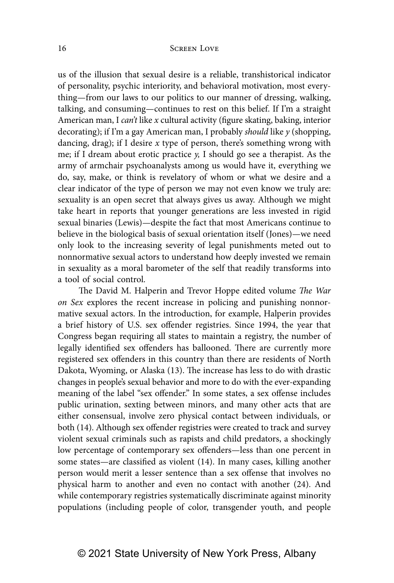us of the illusion that sexual desire is a reliable, transhistorical indicator of personality, psychic interiority, and behavioral motivation, most everything—from our laws to our politics to our manner of dressing, walking, talking, and consuming—continues to rest on this belief. If I'm a straight American man, I *can't* like *x* cultural activity (figure skating, baking, interior decorating); if I'm a gay American man, I probably *should* like *y* (shopping, dancing, drag); if I desire *x* type of person, there's something wrong with me; if I dream about erotic practice *y,* I should go see a therapist. As the army of armchair psychoanalysts among us would have it, everything we do, say, make, or think is revelatory of whom or what we desire and a clear indicator of the type of person we may not even know we truly are: sexuality is an open secret that always gives us away. Although we might take heart in reports that younger generations are less invested in rigid sexual binaries (Lewis)—despite the fact that most Americans continue to believe in the biological basis of sexual orientation itself (Jones)—we need only look to the increasing severity of legal punishments meted out to nonnormative sexual actors to understand how deeply invested we remain in sexuality as a moral barometer of the self that readily transforms into a tool of social control.

The David M. Halperin and Trevor Hoppe edited volume *The War on Sex* explores the recent increase in policing and punishing nonnormative sexual actors. In the introduction, for example, Halperin provides a brief history of U.S. sex offender registries. Since 1994, the year that Congress began requiring all states to maintain a registry, the number of legally identified sex offenders has ballooned. There are currently more registered sex offenders in this country than there are residents of North Dakota, Wyoming, or Alaska (13). The increase has less to do with drastic changes in people's sexual behavior and more to do with the ever-expanding meaning of the label "sex offender." In some states, a sex offense includes public urination, sexting between minors, and many other acts that are either consensual, involve zero physical contact between individuals, or both (14). Although sex offender registries were created to track and survey violent sexual criminals such as rapists and child predators, a shockingly low percentage of contemporary sex offenders—less than one percent in some states—are classified as violent (14). In many cases, killing another person would merit a lesser sentence than a sex offense that involves no physical harm to another and even no contact with another (24). And while contemporary registries systematically discriminate against minority populations (including people of color, transgender youth, and people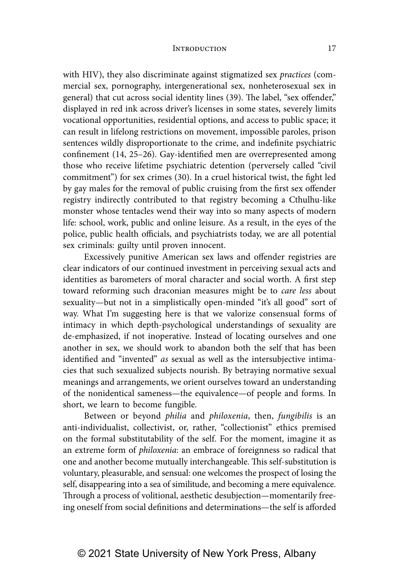with HIV), they also discriminate against stigmatized sex *practices* (commercial sex, pornography, intergenerational sex, nonheterosexual sex in general) that cut across social identity lines (39). The label, "sex offender," displayed in red ink across driver's licenses in some states, severely limits vocational opportunities, residential options, and access to public space; it can result in lifelong restrictions on movement, impossible paroles, prison sentences wildly disproportionate to the crime, and indefinite psychiatric confinement (14, 25–26). Gay-identified men are overrepresented among those who receive lifetime psychiatric detention (perversely called "civil commitment") for sex crimes (30). In a cruel historical twist, the fight led by gay males for the removal of public cruising from the first sex offender registry indirectly contributed to that registry becoming a Cthulhu-like monster whose tentacles wend their way into so many aspects of modern life: school, work, public and online leisure. As a result, in the eyes of the police, public health officials, and psychiatrists today, we are all potential sex criminals: guilty until proven innocent.

Excessively punitive American sex laws and offender registries are clear indicators of our continued investment in perceiving sexual acts and identities as barometers of moral character and social worth. A first step toward reforming such draconian measures might be to *care less* about sexuality—but not in a simplistically open-minded "it's all good" sort of way. What I'm suggesting here is that we valorize consensual forms of intimacy in which depth-psychological understandings of sexuality are de-emphasized, if not inoperative. Instead of locating ourselves and one another in sex, we should work to abandon both the self that has been identified and "invented" *as* sexual as well as the intersubjective intimacies that such sexualized subjects nourish. By betraying normative sexual meanings and arrangements, we orient ourselves toward an understanding of the nonidentical sameness—the equivalence—of people and forms. In short, we learn to become fungible.

Between or beyond *philia* and *philoxenia*, then, *fungibilis* is an anti-individualist, collectivist, or, rather, "collectionist" ethics premised on the formal substitutability of the self. For the moment, imagine it as an extreme form of *philoxenia*: an embrace of foreignness so radical that one and another become mutually interchangeable. This self-substitution is voluntary, pleasurable, and sensual: one welcomes the prospect of losing the self, disappearing into a sea of similitude, and becoming a mere equivalence. Through a process of volitional, aesthetic desubjection—momentarily freeing oneself from social definitions and determinations—the self is afforded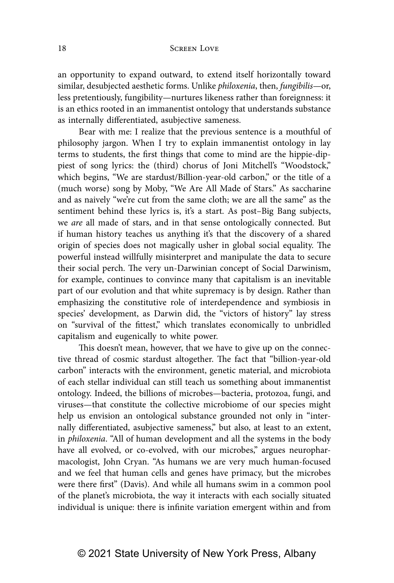an opportunity to expand outward, to extend itself horizontally toward similar, desubjected aesthetic forms. Unlike *philoxenia*, then, *fungibilis*—or, less pretentiously, fungibility—nurtures likeness rather than foreignness: it is an ethics rooted in an immanentist ontology that understands substance as internally differentiated, asubjective sameness.

Bear with me: I realize that the previous sentence is a mouthful of philosophy jargon. When I try to explain immanentist ontology in lay terms to students, the first things that come to mind are the hippie-dippiest of song lyrics: the (third) chorus of Joni Mitchell's "Woodstock," which begins, "We are stardust/Billion-year-old carbon," or the title of a (much worse) song by Moby, "We Are All Made of Stars." As saccharine and as naively "we're cut from the same cloth; we are all the same" as the sentiment behind these lyrics is, it's a start. As post–Big Bang subjects, we *are* all made of stars, and in that sense ontologically connected. But if human history teaches us anything it's that the discovery of a shared origin of species does not magically usher in global social equality. The powerful instead willfully misinterpret and manipulate the data to secure their social perch. The very un-Darwinian concept of Social Darwinism, for example, continues to convince many that capitalism is an inevitable part of our evolution and that white supremacy is by design. Rather than emphasizing the constitutive role of interdependence and symbiosis in species' development, as Darwin did, the "victors of history" lay stress on "survival of the fittest," which translates economically to unbridled capitalism and eugenically to white power.

This doesn't mean, however, that we have to give up on the connective thread of cosmic stardust altogether. The fact that "billion-year-old carbon" interacts with the environment, genetic material, and microbiota of each stellar individual can still teach us something about immanentist ontology. Indeed, the billions of microbes—bacteria, protozoa, fungi, and viruses—that constitute the collective microbiome of our species might help us envision an ontological substance grounded not only in "internally differentiated, asubjective sameness," but also, at least to an extent, in *philoxenia*. "All of human development and all the systems in the body have all evolved, or co-evolved, with our microbes," argues neuropharmacologist, John Cryan. "As humans we are very much human-focused and we feel that human cells and genes have primacy, but the microbes were there first" (Davis). And while all humans swim in a common pool of the planet's microbiota, the way it interacts with each socially situated individual is unique: there is infinite variation emergent within and from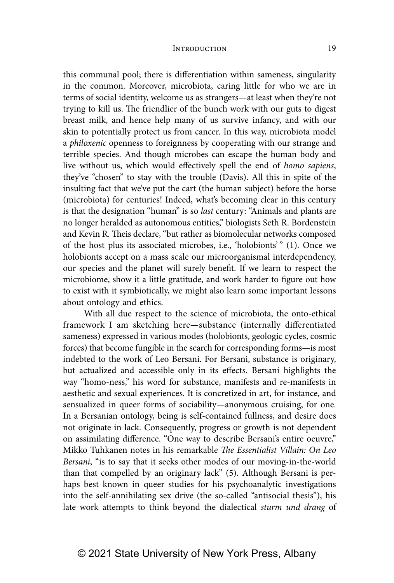this communal pool; there is differentiation within sameness, singularity in the common. Moreover, microbiota, caring little for who we are in terms of social identity, welcome us as strangers—at least when they're not trying to kill us. The friendlier of the bunch work with our guts to digest breast milk, and hence help many of us survive infancy, and with our skin to potentially protect us from cancer. In this way, microbiota model a *philoxenic* openness to foreignness by cooperating with our strange and terrible species. And though microbes can escape the human body and live without us, which would effectively spell the end of *homo sapiens*, they've "chosen" to stay with the trouble (Davis). All this in spite of the insulting fact that we've put the cart (the human subject) before the horse (microbiota) for centuries! Indeed, what's becoming clear in this century is that the designation "human" is so *last* century: "Animals and plants are no longer heralded as autonomous entities," biologists Seth R. Bordenstein and Kevin R. Theis declare, "but rather as biomolecular networks composed of the host plus its associated microbes, i.e., 'holobionts' " (1). Once we holobionts accept on a mass scale our microorganismal interdependency, our species and the planet will surely benefit. If we learn to respect the microbiome, show it a little gratitude, and work harder to figure out how to exist with it symbiotically, we might also learn some important lessons about ontology and ethics.

With all due respect to the science of microbiota, the onto-ethical framework I am sketching here—substance (internally differentiated sameness) expressed in various modes (holobionts, geologic cycles, cosmic forces) that become fungible in the search for corresponding forms—is most indebted to the work of Leo Bersani. For Bersani, substance is originary, but actualized and accessible only in its effects. Bersani highlights the way "homo-ness," his word for substance, manifests and re-manifests in aesthetic and sexual experiences. It is concretized in art, for instance, and sensualized in queer forms of sociability—anonymous cruising, for one. In a Bersanian ontology, being is self-contained fullness, and desire does not originate in lack. Consequently, progress or growth is not dependent on assimilating difference. "One way to describe Bersani's entire oeuvre," Mikko Tuhkanen notes in his remarkable *The Essentialist Villain: On Leo Bersani*, "is to say that it seeks other modes of our moving-in-the-world than that compelled by an originary lack" (5). Although Bersani is perhaps best known in queer studies for his psychoanalytic investigations into the self-annihilating sex drive (the so-called "antisocial thesis"), his late work attempts to think beyond the dialectical *sturm und drang* of